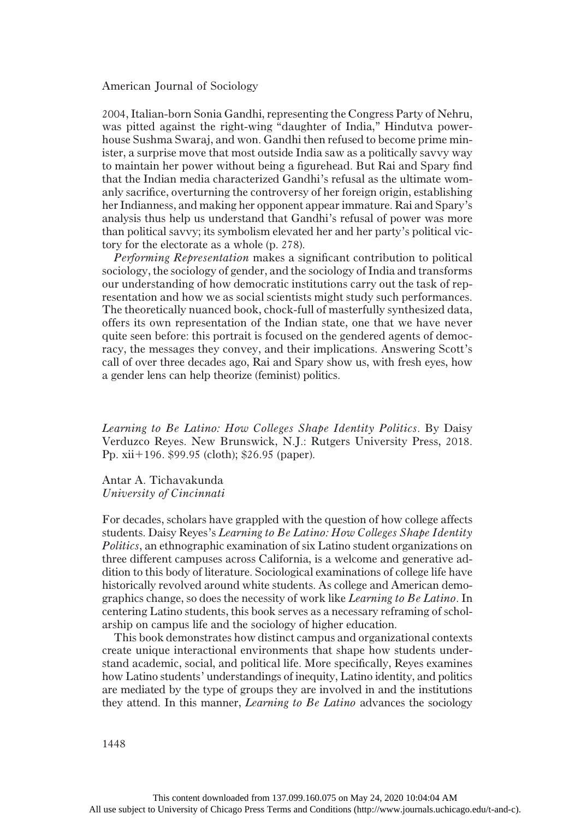## American Journal of Sociology

2004, Italian-born Sonia Gandhi, representing the Congress Party of Nehru, was pitted against the right-wing "daughter of India," Hindutva powerhouse Sushma Swaraj, and won. Gandhi then refused to become prime minister, a surprise move that most outside India saw as a politically savvy way to maintain her power without being a figurehead. But Rai and Spary find that the Indian media characterized Gandhi's refusal as the ultimate womanly sacrifice, overturning the controversy of her foreign origin, establishing her Indianness, and making her opponent appear immature. Rai and Spary's analysis thus help us understand that Gandhi's refusal of power was more than political savvy; its symbolism elevated her and her party's political victory for the electorate as a whole (p. 278).

Performing Representation makes a significant contribution to political sociology, the sociology of gender, and the sociology of India and transforms our understanding of how democratic institutions carry out the task of representation and how we as social scientists might study such performances. The theoretically nuanced book, chock-full of masterfully synthesized data, offers its own representation of the Indian state, one that we have never quite seen before: this portrait is focused on the gendered agents of democracy, the messages they convey, and their implications. Answering Scott's call of over three decades ago, Rai and Spary show us, with fresh eyes, how a gender lens can help theorize (feminist) politics.

Learning to Be Latino: How Colleges Shape Identity Politics. By Daisy Verduzco Reyes. New Brunswick, N.J.: Rutgers University Press, 2018. Pp.  $xii+196.$  \$99.95 (cloth); \$26.95 (paper).

Antar A. Tichavakunda University of Cincinnati

For decades, scholars have grappled with the question of how college affects students. Daisy Reyes's Learning to Be Latino: How Colleges Shape Identity Politics, an ethnographic examination of six Latino student organizations on three different campuses across California, is a welcome and generative addition to this body of literature. Sociological examinations of college life have historically revolved around white students. As college and American demographics change, so does the necessity of work like Learning to Be Latino. In centering Latino students, this book serves as a necessary reframing of scholarship on campus life and the sociology of higher education.

This book demonstrates how distinct campus and organizational contexts create unique interactional environments that shape how students understand academic, social, and political life. More specifically, Reyes examines how Latino students' understandings of inequity, Latino identity, and politics are mediated by the type of groups they are involved in and the institutions they attend. In this manner, Learning to Be Latino advances the sociology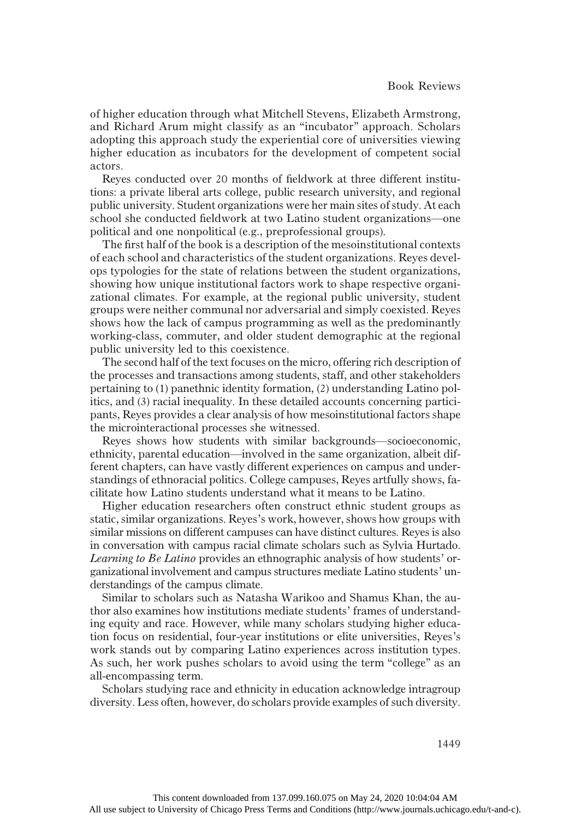of higher education through what Mitchell Stevens, Elizabeth Armstrong, and Richard Arum might classify as an "incubator" approach. Scholars adopting this approach study the experiential core of universities viewing higher education as incubators for the development of competent social actors.

Reyes conducted over 20 months of fieldwork at three different institutions: a private liberal arts college, public research university, and regional public university. Student organizations were her main sites of study. At each school she conducted fieldwork at two Latino student organizations—one political and one nonpolitical (e.g., preprofessional groups).

The first half of the book is a description of the mesoinstitutional contexts of each school and characteristics of the student organizations. Reyes develops typologies for the state of relations between the student organizations, showing how unique institutional factors work to shape respective organizational climates. For example, at the regional public university, student groups were neither communal nor adversarial and simply coexisted. Reyes shows how the lack of campus programming as well as the predominantly working-class, commuter, and older student demographic at the regional public university led to this coexistence.

The second half of the text focuses on the micro, offering rich description of the processes and transactions among students, staff, and other stakeholders pertaining to (1) panethnic identity formation, (2) understanding Latino politics, and (3) racial inequality. In these detailed accounts concerning participants, Reyes provides a clear analysis of how mesoinstitutional factors shape the microinteractional processes she witnessed.

Reyes shows how students with similar backgrounds—socioeconomic, ethnicity, parental education—involved in the same organization, albeit different chapters, can have vastly different experiences on campus and understandings of ethnoracial politics. College campuses, Reyes artfully shows, facilitate how Latino students understand what it means to be Latino.

Higher education researchers often construct ethnic student groups as static, similar organizations. Reyes's work, however, shows how groups with similar missions on different campuses can have distinct cultures. Reyes is also in conversation with campus racial climate scholars such as Sylvia Hurtado. Learning to Be Latino provides an ethnographic analysis of how students' organizational involvement and campus structures mediate Latino students' understandings of the campus climate.

Similar to scholars such as Natasha Warikoo and Shamus Khan, the author also examines how institutions mediate students' frames of understanding equity and race. However, while many scholars studying higher education focus on residential, four-year institutions or elite universities, Reyes's work stands out by comparing Latino experiences across institution types. As such, her work pushes scholars to avoid using the term "college" as an all-encompassing term.

Scholars studying race and ethnicity in education acknowledge intragroup diversity. Less often, however, do scholars provide examples of such diversity.

1449